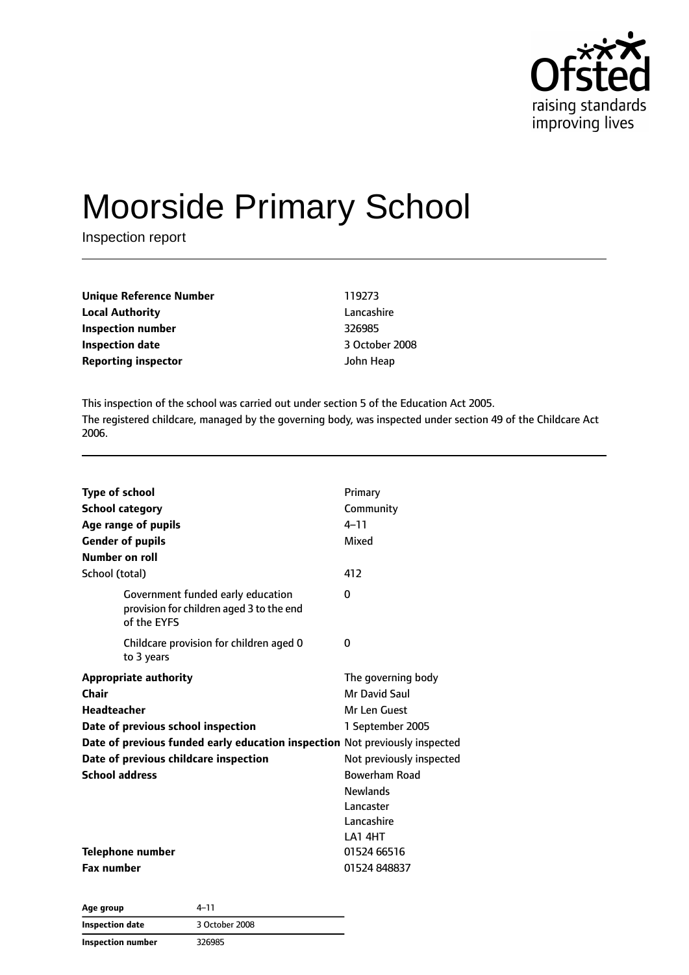

# Moorside Primary School

Inspection report

| Unique Reference Number    | 119273         |
|----------------------------|----------------|
| <b>Local Authority</b>     | Lancashire     |
| Inspection number          | 326985         |
| <b>Inspection date</b>     | 3 October 2008 |
| <b>Reporting inspector</b> | John Heap      |

This inspection of the school was carried out under section 5 of the Education Act 2005. The registered childcare, managed by the governing body, was inspected under section 49 of the Childcare Act 2006.

| Type of school<br><b>School category</b><br>Age range of pupils<br><b>Gender of pupils</b><br>Number on roll | Primary<br>Community<br>$4 - 11$<br>Mixed |
|--------------------------------------------------------------------------------------------------------------|-------------------------------------------|
| School (total)                                                                                               | 412                                       |
| Government funded early education<br>provision for children aged 3 to the end<br>of the EYFS                 | O                                         |
| Childcare provision for children aged 0<br>to 3 years                                                        | 0                                         |
| <b>Appropriate authority</b>                                                                                 | The governing body                        |
| Chair                                                                                                        | Mr David Saul                             |
| Headteacher                                                                                                  | Mr Len Guest                              |
| Date of previous school inspection                                                                           | 1 September 2005                          |
| Date of previous funded early education inspection Not previously inspected                                  |                                           |
| Date of previous childcare inspection                                                                        | Not previously inspected                  |
| <b>School address</b>                                                                                        | <b>Bowerham Road</b>                      |
|                                                                                                              | <b>Newlands</b>                           |
|                                                                                                              | Lancaster                                 |
|                                                                                                              | Lancashire                                |
|                                                                                                              | LA14HT                                    |
| Telephone number                                                                                             | 01524 66516                               |
| <b>Fax number</b>                                                                                            | 01524 848837                              |

| Age group                | 4–11           |  |
|--------------------------|----------------|--|
| <b>Inspection date</b>   | 3 October 2008 |  |
| <b>Inspection number</b> | 326985         |  |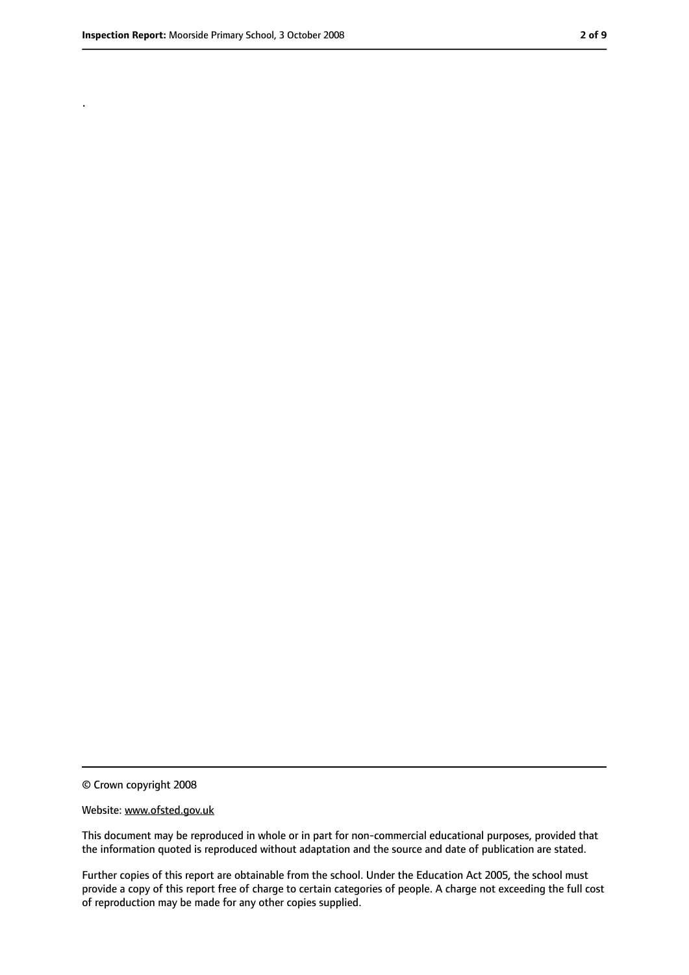.

<sup>©</sup> Crown copyright 2008

Website: www.ofsted.gov.uk

This document may be reproduced in whole or in part for non-commercial educational purposes, provided that the information quoted is reproduced without adaptation and the source and date of publication are stated.

Further copies of this report are obtainable from the school. Under the Education Act 2005, the school must provide a copy of this report free of charge to certain categories of people. A charge not exceeding the full cost of reproduction may be made for any other copies supplied.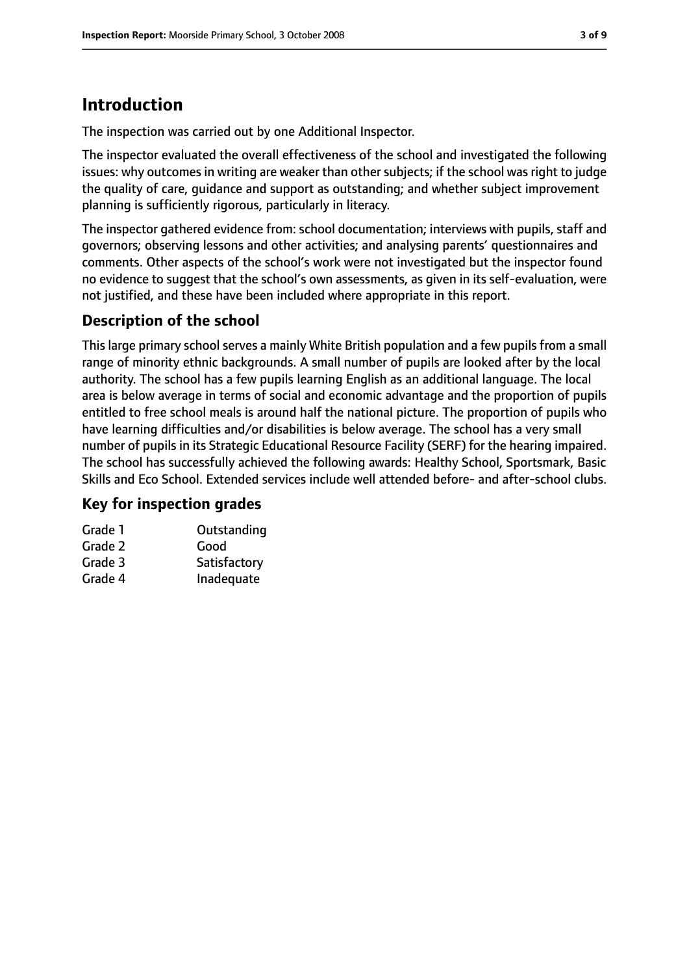# **Introduction**

The inspection was carried out by one Additional Inspector.

The inspector evaluated the overall effectiveness of the school and investigated the following issues: why outcomes in writing are weaker than other subjects; if the school was right to judge the quality of care, guidance and support as outstanding; and whether subject improvement planning is sufficiently rigorous, particularly in literacy.

The inspector gathered evidence from: school documentation; interviews with pupils, staff and governors; observing lessons and other activities; and analysing parents' questionnaires and comments. Other aspects of the school's work were not investigated but the inspector found no evidence to suggest that the school's own assessments, as given in its self-evaluation, were not justified, and these have been included where appropriate in this report.

# **Description of the school**

This large primary school serves a mainly White British population and a few pupils from a small range of minority ethnic backgrounds. A small number of pupils are looked after by the local authority. The school has a few pupils learning English as an additional language. The local area is below average in terms of social and economic advantage and the proportion of pupils entitled to free school meals is around half the national picture. The proportion of pupils who have learning difficulties and/or disabilities is below average. The school has a very small number of pupils in its Strategic Educational Resource Facility (SERF) for the hearing impaired. The school has successfully achieved the following awards: Healthy School, Sportsmark, Basic Skills and Eco School. Extended services include well attended before- and after-school clubs.

# **Key for inspection grades**

| Outstanding  |
|--------------|
| Good         |
| Satisfactory |
| Inadequate   |
|              |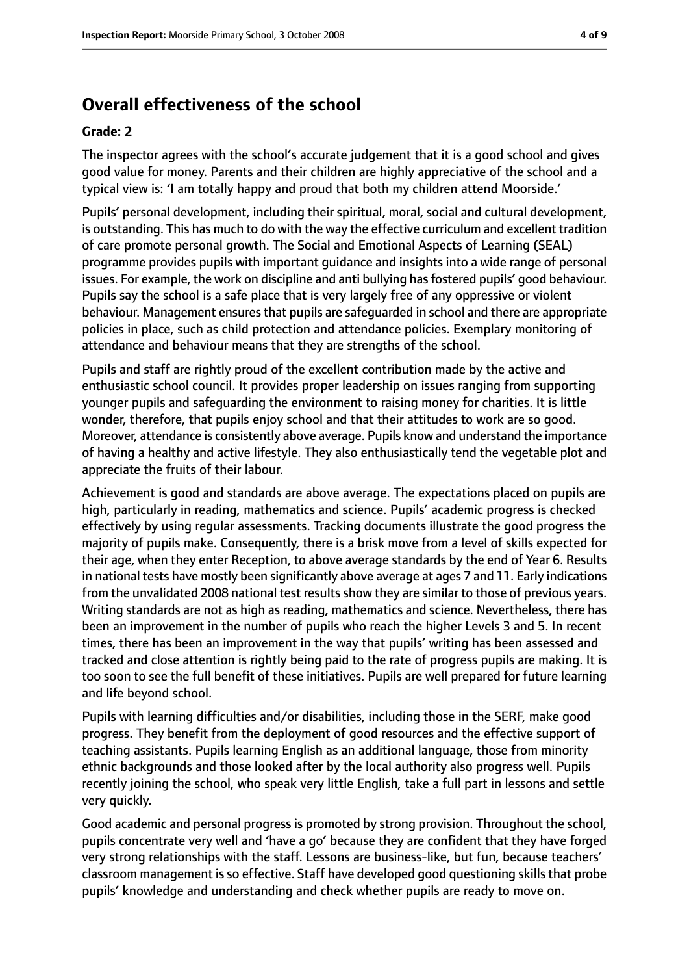# **Overall effectiveness of the school**

#### **Grade: 2**

The inspector agrees with the school's accurate judgement that it is a good school and gives good value for money. Parents and their children are highly appreciative of the school and a typical view is: 'I am totally happy and proud that both my children attend Moorside.'

Pupils' personal development, including their spiritual, moral, social and cultural development, is outstanding. This has much to do with the way the effective curriculum and excellent tradition of care promote personal growth. The Social and Emotional Aspects of Learning (SEAL) programme provides pupils with important guidance and insights into a wide range of personal issues. For example, the work on discipline and anti bullying has fostered pupils' good behaviour. Pupils say the school is a safe place that is very largely free of any oppressive or violent behaviour. Management ensures that pupils are safeguarded in school and there are appropriate policies in place, such as child protection and attendance policies. Exemplary monitoring of attendance and behaviour means that they are strengths of the school.

Pupils and staff are rightly proud of the excellent contribution made by the active and enthusiastic school council. It provides proper leadership on issues ranging from supporting younger pupils and safeguarding the environment to raising money for charities. It is little wonder, therefore, that pupils enjoy school and that their attitudes to work are so good. Moreover, attendance is consistently above average. Pupils know and understand the importance of having a healthy and active lifestyle. They also enthusiastically tend the vegetable plot and appreciate the fruits of their labour.

Achievement is good and standards are above average. The expectations placed on pupils are high, particularly in reading, mathematics and science. Pupils' academic progress is checked effectively by using regular assessments. Tracking documents illustrate the good progress the majority of pupils make. Consequently, there is a brisk move from a level of skills expected for their age, when they enter Reception, to above average standards by the end of Year 6. Results in national tests have mostly been significantly above average at ages 7 and 11. Early indications from the unvalidated 2008 national test results show they are similar to those of previous years. Writing standards are not as high as reading, mathematics and science. Nevertheless, there has been an improvement in the number of pupils who reach the higher Levels 3 and 5. In recent times, there has been an improvement in the way that pupils' writing has been assessed and tracked and close attention is rightly being paid to the rate of progress pupils are making. It is too soon to see the full benefit of these initiatives. Pupils are well prepared for future learning and life beyond school.

Pupils with learning difficulties and/or disabilities, including those in the SERF, make good progress. They benefit from the deployment of good resources and the effective support of teaching assistants. Pupils learning English as an additional language, those from minority ethnic backgrounds and those looked after by the local authority also progress well. Pupils recently joining the school, who speak very little English, take a full part in lessons and settle very quickly.

Good academic and personal progress is promoted by strong provision. Throughout the school, pupils concentrate very well and 'have a go' because they are confident that they have forged very strong relationships with the staff. Lessons are business-like, but fun, because teachers' classroom management is so effective. Staff have developed good questioning skills that probe pupils' knowledge and understanding and check whether pupils are ready to move on.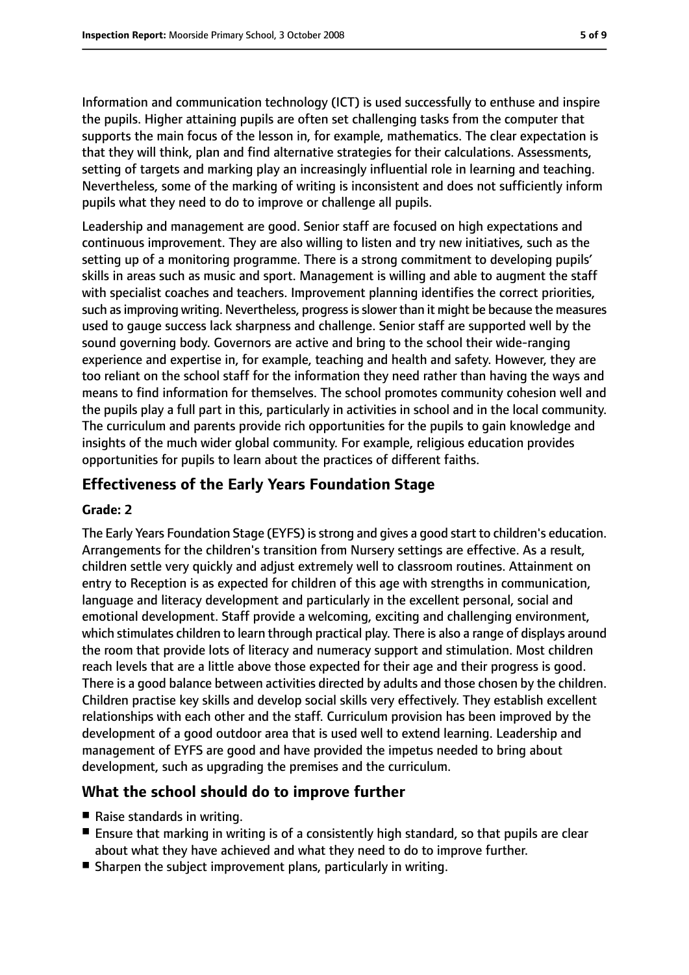Information and communication technology (ICT) is used successfully to enthuse and inspire the pupils. Higher attaining pupils are often set challenging tasks from the computer that supports the main focus of the lesson in, for example, mathematics. The clear expectation is that they will think, plan and find alternative strategies for their calculations. Assessments, setting of targets and marking play an increasingly influential role in learning and teaching. Nevertheless, some of the marking of writing is inconsistent and does not sufficiently inform pupils what they need to do to improve or challenge all pupils.

Leadership and management are good. Senior staff are focused on high expectations and continuous improvement. They are also willing to listen and try new initiatives, such as the setting up of a monitoring programme. There is a strong commitment to developing pupils' skills in areas such as music and sport. Management is willing and able to augment the staff with specialist coaches and teachers. Improvement planning identifies the correct priorities, such as improving writing. Nevertheless, progress is slower than it might be because the measures used to gauge success lack sharpness and challenge. Senior staff are supported well by the sound governing body. Governors are active and bring to the school their wide-ranging experience and expertise in, for example, teaching and health and safety. However, they are too reliant on the school staff for the information they need rather than having the ways and means to find information for themselves. The school promotes community cohesion well and the pupils play a full part in this, particularly in activities in school and in the local community. The curriculum and parents provide rich opportunities for the pupils to gain knowledge and insights of the much wider global community. For example, religious education provides opportunities for pupils to learn about the practices of different faiths.

# **Effectiveness of the Early Years Foundation Stage**

### **Grade: 2**

The Early Years Foundation Stage (EYFS) is strong and gives a good start to children's education. Arrangements for the children's transition from Nursery settings are effective. As a result, children settle very quickly and adjust extremely well to classroom routines. Attainment on entry to Reception is as expected for children of this age with strengths in communication, language and literacy development and particularly in the excellent personal, social and emotional development. Staff provide a welcoming, exciting and challenging environment, which stimulates children to learn through practical play. There is also a range of displays around the room that provide lots of literacy and numeracy support and stimulation. Most children reach levels that are a little above those expected for their age and their progress is good. There is a good balance between activities directed by adults and those chosen by the children. Children practise key skills and develop social skills very effectively. They establish excellent relationships with each other and the staff. Curriculum provision has been improved by the development of a good outdoor area that is used well to extend learning. Leadership and management of EYFS are good and have provided the impetus needed to bring about development, such as upgrading the premises and the curriculum.

# **What the school should do to improve further**

- Raise standards in writing.
- Ensure that marking in writing is of a consistently high standard, so that pupils are clear about what they have achieved and what they need to do to improve further.
- Sharpen the subject improvement plans, particularly in writing.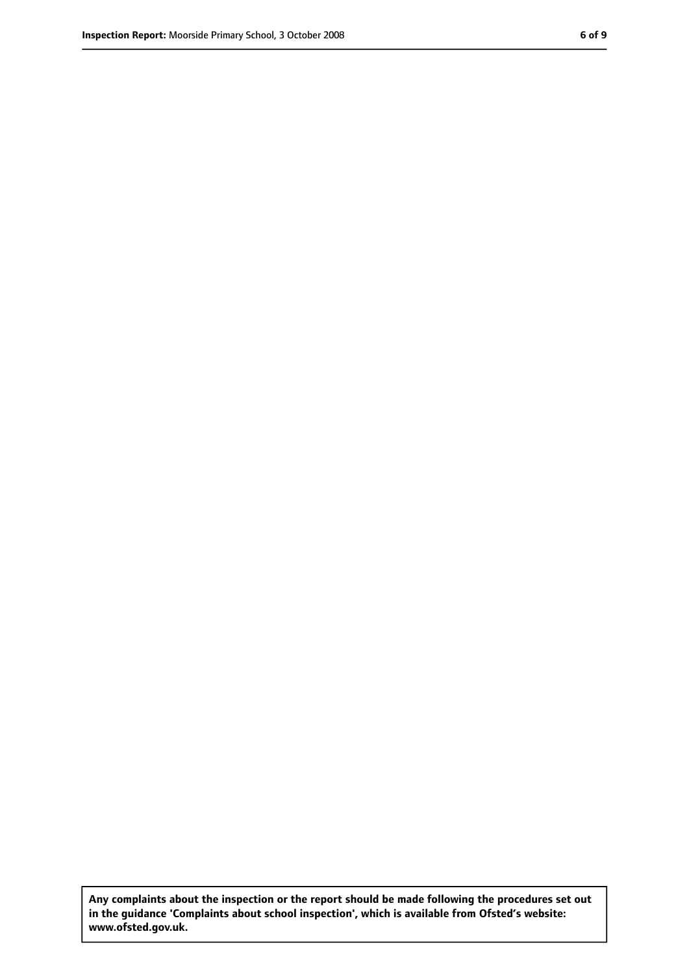**Any complaints about the inspection or the report should be made following the procedures set out in the guidance 'Complaints about school inspection', which is available from Ofsted's website: www.ofsted.gov.uk.**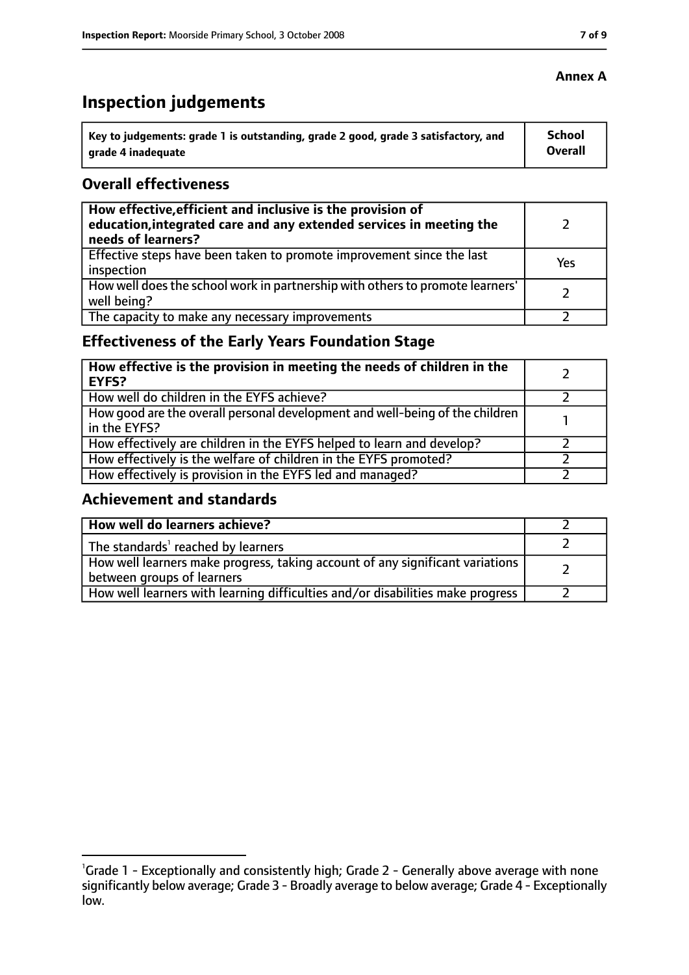# **Inspection judgements**

| \ Key to judgements: grade 1 is outstanding, grade 2 good, grade 3 satisfactory, and | <b>School</b>  |
|--------------------------------------------------------------------------------------|----------------|
| arade 4 inadequate                                                                   | <b>Overall</b> |

# **Overall effectiveness**

| How effective, efficient and inclusive is the provision of<br>education, integrated care and any extended services in meeting the<br>needs of learners? |     |
|---------------------------------------------------------------------------------------------------------------------------------------------------------|-----|
| Effective steps have been taken to promote improvement since the last<br>inspection                                                                     | Yes |
| How well does the school work in partnership with others to promote learners'<br>well being?                                                            |     |
| The capacity to make any necessary improvements                                                                                                         |     |

# **Effectiveness of the Early Years Foundation Stage**

| How effective is the provision in meeting the needs of children in the<br><b>EYFS?</b>       |  |
|----------------------------------------------------------------------------------------------|--|
| How well do children in the EYFS achieve?                                                    |  |
| How good are the overall personal development and well-being of the children<br>in the EYFS? |  |
| How effectively are children in the EYFS helped to learn and develop?                        |  |
| How effectively is the welfare of children in the EYFS promoted?                             |  |
| How effectively is provision in the EYFS led and managed?                                    |  |

## **Achievement and standards**

| How well do learners achieve?                                                                               |  |
|-------------------------------------------------------------------------------------------------------------|--|
| The standards <sup>1</sup> reached by learners                                                              |  |
| How well learners make progress, taking account of any significant variations<br>between groups of learners |  |
| How well learners with learning difficulties and/or disabilities make progress                              |  |

### **Annex A**

<sup>&</sup>lt;sup>1</sup>Grade 1 - Exceptionally and consistently high; Grade 2 - Generally above average with none significantly below average; Grade 3 - Broadly average to below average; Grade 4 - Exceptionally low.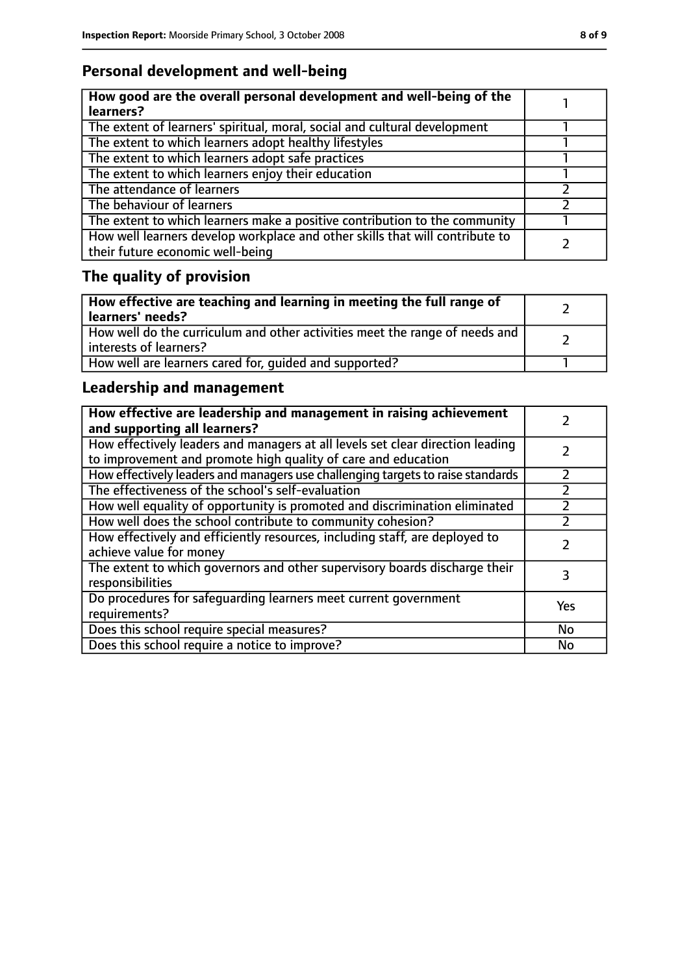# **Personal development and well-being**

| How good are the overall personal development and well-being of the<br>learners?                                 |  |
|------------------------------------------------------------------------------------------------------------------|--|
| The extent of learners' spiritual, moral, social and cultural development                                        |  |
| The extent to which learners adopt healthy lifestyles                                                            |  |
| The extent to which learners adopt safe practices                                                                |  |
| The extent to which learners enjoy their education                                                               |  |
| The attendance of learners                                                                                       |  |
| The behaviour of learners                                                                                        |  |
| The extent to which learners make a positive contribution to the community                                       |  |
| How well learners develop workplace and other skills that will contribute to<br>their future economic well-being |  |

# **The quality of provision**

| How effective are teaching and learning in meeting the full range of<br>learners' needs?              |  |
|-------------------------------------------------------------------------------------------------------|--|
| How well do the curriculum and other activities meet the range of needs and<br>interests of learners? |  |
| How well are learners cared for, quided and supported?                                                |  |

# **Leadership and management**

| How effective are leadership and management in raising achievement<br>and supporting all learners?                                              |     |
|-------------------------------------------------------------------------------------------------------------------------------------------------|-----|
| How effectively leaders and managers at all levels set clear direction leading<br>to improvement and promote high quality of care and education |     |
| How effectively leaders and managers use challenging targets to raise standards                                                                 |     |
| The effectiveness of the school's self-evaluation                                                                                               |     |
| How well equality of opportunity is promoted and discrimination eliminated                                                                      |     |
| How well does the school contribute to community cohesion?                                                                                      |     |
| How effectively and efficiently resources, including staff, are deployed to<br>achieve value for money                                          |     |
| The extent to which governors and other supervisory boards discharge their<br>responsibilities                                                  |     |
| Do procedures for safeguarding learners meet current government<br>requirements?                                                                | Yes |
| Does this school require special measures?                                                                                                      | No  |
| Does this school require a notice to improve?                                                                                                   | No  |